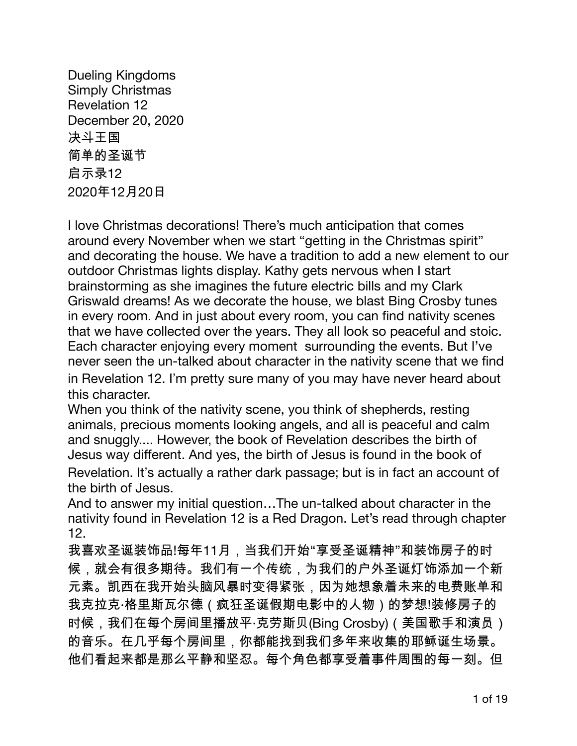**Dueling Kingdoms Simply Christmas Revelation 12** December 20, 2020 决斗王国 简单的圣诞节 启示录12 2020年12月20日

I love Christmas decorations! There's much anticipation that comes around every November when we start "getting in the Christmas spirit" and decorating the house. We have a tradition to add a new element to our outdoor Christmas lights display. Kathy gets nervous when I start brainstorming as she imagines the future electric bills and my Clark Griswald dreams! As we decorate the house, we blast Bing Crosby tunes in every room. And in just about every room, you can find nativity scenes that we have collected over the years. They all look so peaceful and stoic. Each character enjoying every moment surrounding the events. But I've never seen the un-talked about character in the nativity scene that we find in Revelation 12. I'm pretty sure many of you may have never heard about this character.

When you think of the nativity scene, you think of shepherds, resting animals, precious moments looking angels, and all is peaceful and calm and snuggly.... However, the book of Revelation describes the birth of Jesus way different. And yes, the birth of Jesus is found in the book of Revelation. It's actually a rather dark passage; but is in fact an account of the birth of Jesus.

And to answer my initial question...The un-talked about character in the nativity found in Revelation 12 is a Red Dragon. Let's read through chapter  $12.$ 

我喜欢圣诞装饰品!每年11月,当我们开始"享受圣诞精神"和装饰房子的时 候,就会有很多期待。我们有一个传统,为我们的户外圣诞灯饰添加一个新 元素。凯西在我开始头脑风暴时变得紧张,因为她想象着未来的电费账单和 我克拉克·格里斯瓦尔德(疯狂圣诞假期电影中的人物)的梦想!装修房子的 时候,我们在每个房间里播放平·克劳斯贝(Bing Crosby)(美国歌手和演员) 的音乐。在几乎每个房间里,你都能找到我们多年来收集的耶稣诞生场景。 他们看起来都是那么平静和坚忍。每个角色都享受着事件周围的每一刻。但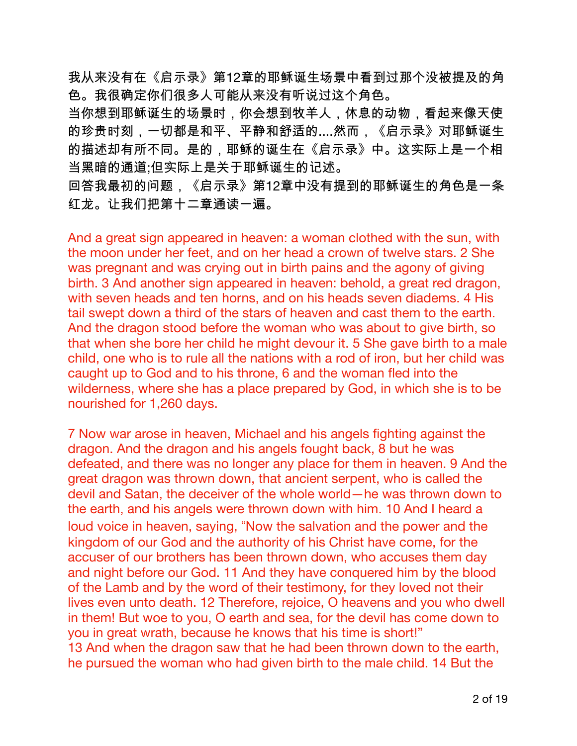我从来没有在《启示录》第12章的耶稣诞生场景中看到过那个没被提及的角 色。我很确定你们很多人可能从来没有听说过这个角色。

当你想到耶稣诞生的场景时,你会想到牧羊人,休息的动物,看起来像天使 的珍贵时刻,一切都是和平、平静和舒适的....然而,《启示录》对耶稣诞生 的描述却有所不同。是的,耶稣的诞生在《启示录》中。这实际上是一个相 当黑暗的通道:但实际上是关于耶稣诞生的记述。

回答我最初的问题,《启示录》第12章中没有提到的耶稣诞生的角色是一条 红龙。让我们把第十二章通读一遍。

And a great sign appeared in heaven: a woman clothed with the sun, with the moon under her feet, and on her head a crown of twelve stars. 2 She was pregnant and was crying out in birth pains and the agony of giving birth. 3 And another sign appeared in heaven: behold, a great red dragon, with seven heads and ten horns, and on his heads seven diadems. 4 His tail swept down a third of the stars of heaven and cast them to the earth. And the dragon stood before the woman who was about to give birth, so that when she bore her child he might devour it. 5 She gave birth to a male child, one who is to rule all the nations with a rod of iron, but her child was caught up to God and to his throne, 6 and the woman fled into the wilderness, where she has a place prepared by God, in which she is to be nourished for 1,260 days.

7 Now war arose in heaven, Michael and his angels fighting against the dragon. And the dragon and his angels fought back, 8 but he was defeated, and there was no longer any place for them in heaven. 9 And the great dragon was thrown down, that ancient serpent, who is called the devil and Satan, the deceiver of the whole world—he was thrown down to the earth, and his angels were thrown down with him. 10 And I heard a loud voice in heaven, saying, "Now the salvation and the power and the kingdom of our God and the authority of his Christ have come, for the accuser of our brothers has been thrown down, who accuses them day and night before our God. 11 And they have conquered him by the blood of the Lamb and by the word of their testimony, for they loved not their lives even unto death. 12 Therefore, rejoice, O heavens and you who dwell in them! But woe to you, O earth and sea, for the devil has come down to you in great wrath, because he knows that his time is short!" 13 And when the dragon saw that he had been thrown down to the earth, he pursued the woman who had given birth to the male child. 14 But the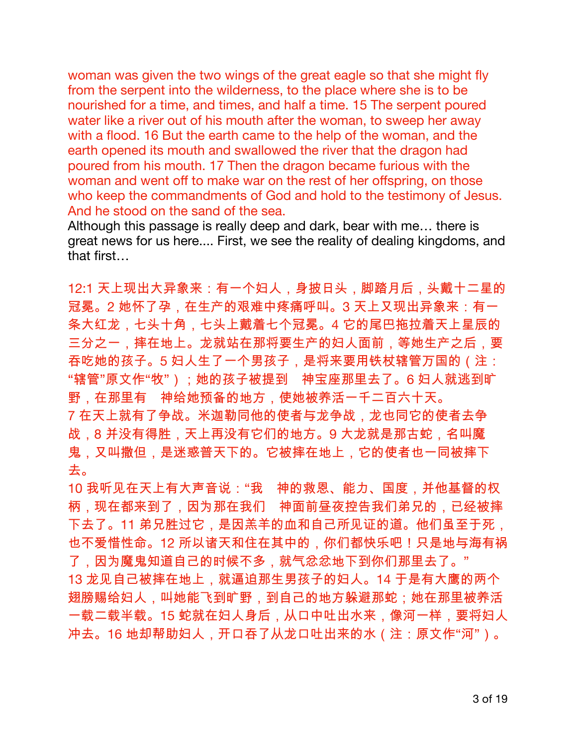woman was given the two wings of the great eagle so that she might fly from the serpent into the wilderness, to the place where she is to be nourished for a time, and times, and half a time. 15 The serpent poured water like a river out of his mouth after the woman, to sweep her away with a flood. 16 But the earth came to the help of the woman, and the earth opened its mouth and swallowed the river that the dragon had poured from his mouth. 17 Then the dragon became furious with the woman and went off to make war on the rest of her offspring, on those who keep the commandments of God and hold to the testimony of Jesus. And he stood on the sand of the sea.

Although this passage is really deep and dark, bear with me... there is great news for us here.... First, we see the reality of dealing kingdoms, and that first

12:1 天上现出大异象来:有一个妇人,身披日头,脚踏月后,头戴十二星的 冠冕。2 她怀了孕,在生产的艰难中疼痛呼叫。3 天上又现出异象来:有一 条大红龙,七头十角,七头上戴着七个冠冕。4 它的尾巴拖拉着天上星辰的 三分之一,摔在地上。龙就站在那将要生产的妇人面前,等她生产之后,要 吞吃她的孩子。5 妇人生了一个男孩子,是将来要用铁杖辖管万国的 (注: "辖管"原文作"牧");她的孩子被提到 神宝座那里去了。6 妇人就逃到旷 野,在那里有 神给她预备的地方,使她被养活一千二百六十天。 7 在天上就有了争战。米迦勒同他的使者与龙争战,龙也同它的使者去争 战,8 并没有得胜,天上再没有它们的地方。9 大龙就是那古蛇,名叫魔 鬼,又叫撒但,是迷惑普天下的。它被摔在地上,它的使者也一同被摔下 夫。

10 我听见在天上有大声音说:"我 神的救恩、能力、国度,并他基督的权 柄,现在都来到了,因为那在我们 神面前昼夜控告我们弟兄的,已经被摔 下去了。11 弟兄胜过它,是因羔羊的血和自己所见证的道。他们虽至于死, 也不爱惜性命。12 所以诸天和住在其中的,你们都快乐吧!只是地与海有祸 了,因为魔鬼知道自己的时候不多,就气忿忿地下到你们那里去了。" 13 龙见自己被摔在地上,就逼迫那生男孩子的妇人。14 于是有大鹰的两个 翅膀赐给妇人,叫她能飞到旷野,到自己的地方躲避那蛇;她在那里被养活 一载二载半载。15 蛇就在妇人身后,从口中吐出水来,像河一样,要将妇人 冲去。16 地却帮助妇人,开口吞了从龙口吐出来的水(注:原文作"河")。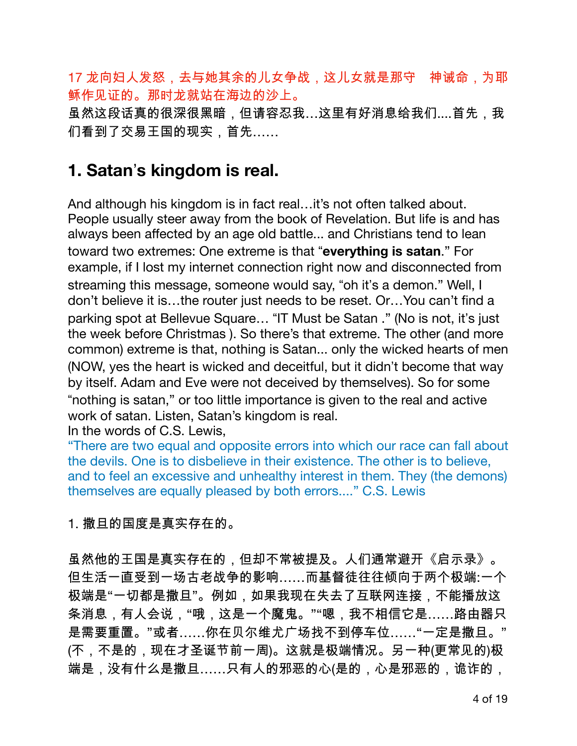17 龙向妇人发怒,去与她其余的儿女争战,这儿女就是那守 神诫命,为耶 稣作见证的。那时龙就站在海边的沙上。

虽然这段话真的很深很黑暗,但请容忍我…这里有好消息给我们....首先,我 们看到了交易王国的现实,首先……

#### 1. Satan's kingdom is real.

And although his kingdom is in fact real...it's not often talked about. People usually steer away from the book of Revelation. But life is and has always been affected by an age old battle... and Christians tend to lean toward two extremes: One extreme is that "everything is satan." For example, if I lost my internet connection right now and disconnected from streaming this message, someone would say, "oh it's a demon." Well, I don't believe it is...the router just needs to be reset. Or...You can't find a parking spot at Bellevue Square... "IT Must be Satan ." (No is not, it's just the week before Christmas ). So there's that extreme. The other (and more common) extreme is that, nothing is Satan... only the wicked hearts of men (NOW, yes the heart is wicked and deceitful, but it didn't become that way by itself. Adam and Eve were not deceived by themselves). So for some "nothing is satan," or too little importance is given to the real and active work of satan. Listen, Satan's kingdom is real.

In the words of C.S. Lewis.

"There are two equal and opposite errors into which our race can fall about the devils. One is to disbelieve in their existence. The other is to believe, and to feel an excessive and unhealthy interest in them. They (the demons) themselves are equally pleased by both errors...." C.S. Lewis

1. 撒旦的国度是真实存在的。

虽然他的王国是真实存在的,但却不常被提及。人们通常避开《启示录》。 但生活一直受到一场古老战争的影响……而基督徒往往倾向于两个极端:一个 极端是"一切都是撒旦"。例如,如果我现在失去了互联网连接,不能播放这 条消息,有人会说,"哦,这是一个魔鬼。""嗯,我不相信它是……路由器只 是需要重置。"或者……你在贝尔维尤广场找不到停车位……"一定是撒旦。" (不,不是的,现在才圣诞节前一周)。这就是极端情况。另一种(更常见的)极 端是,没有什么是撒旦……只有人的邪恶的心(是的,心是邪恶的,诡诈的,

4 of 19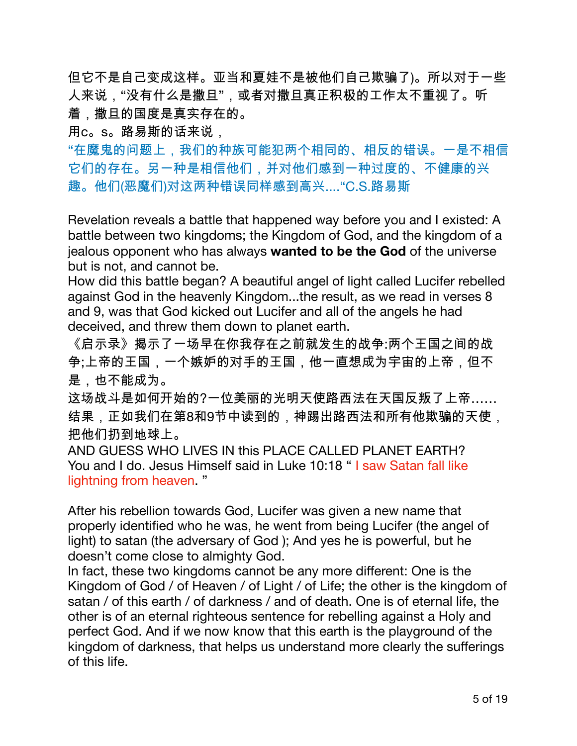但它不是自己变成这样。亚当和夏娃不是被他们自己欺骗了)。所以对于一些 人来说,"没有什么是撒旦",或者对撒旦真正积极的工作太不重视了。听 着,撒旦的国度是真实存在的。

用c。s。路易斯的话来说,

"在魔鬼的问题上,我们的种族可能犯两个相同的、相反的错误。一是不相信 它们的存在。另一种是相信他们,并对他们感到一种过度的、不健康的兴 趣。他们(恶魔们)对这两种错误同样感到高兴...."C.S.路易斯

Revelation reveals a battle that happened way before you and I existed: A battle between two kingdoms; the Kingdom of God, and the kingdom of a jealous opponent who has always wanted to be the God of the universe but is not, and cannot be.

How did this battle began? A beautiful angel of light called Lucifer rebelled against God in the heavenly Kingdom...the result, as we read in verses 8 and 9, was that God kicked out Lucifer and all of the angels he had deceived, and threw them down to planet earth.

《启示录》揭示了一场早在你我存在之前就发生的战争:两个王国之间的战 争;上帝的王国,一个嫉妒的对手的王国,他一直想成为宇宙的上帝,但不 是,也不能成为。

这场战斗是如何开始的?一位美丽的光明天使路西法在天国反叛了上帝…… 结果,正如我们在第8和9节中读到的,神踢出路西法和所有他欺骗的天使, 把他们扔到地球上。

AND GUESS WHO LIVES IN this PLACE CALLED PLANET EARTH? You and I do. Jesus Himself said in Luke 10:18 "I saw Satan fall like lightning from heaven."

After his rebellion towards God, Lucifer was given a new name that properly identified who he was, he went from being Lucifer (the angel of light) to satan (the adversary of God); And yes he is powerful, but he doesn't come close to almighty God.

In fact, these two kingdoms cannot be any more different: One is the Kingdom of God / of Heaven / of Light / of Life; the other is the kingdom of satan / of this earth / of darkness / and of death. One is of eternal life, the other is of an eternal righteous sentence for rebelling against a Holy and perfect God. And if we now know that this earth is the playground of the kingdom of darkness, that helps us understand more clearly the sufferings of this life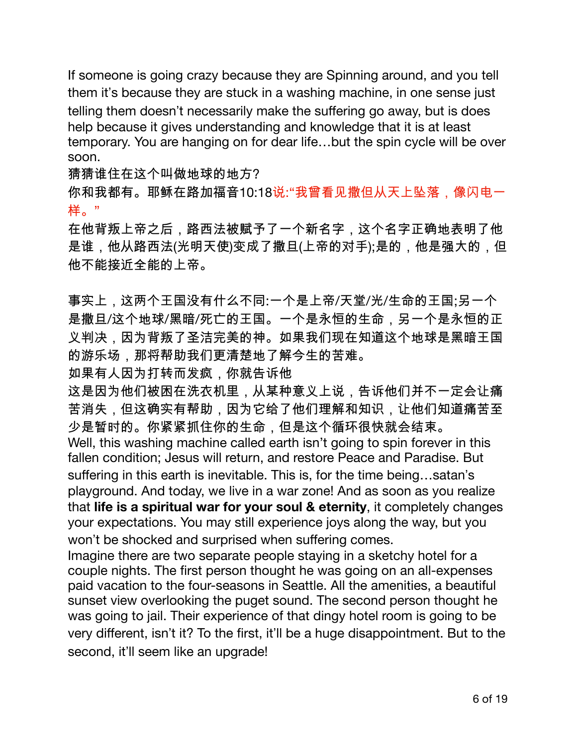If someone is going crazy because they are Spinning around, and you tell them it's because they are stuck in a washing machine, in one sense just telling them doesn't necessarily make the suffering go away, but is does help because it gives understanding and knowledge that it is at least temporary. You are hanging on for dear life...but the spin cycle will be over soon.

猜猜谁住在这个叫做地球的地方?

你和我都有。耶稣在路加福音10:18说:"我曾看见撒但从天上坠落,像闪电一 样。"

在他背叛上帝之后,路西法被赋予了一个新名字,这个名字正确地表明了他 是谁,他从路西法(光明天使)变成了撒旦(上帝的对手);是的,他是强大的,但 他不能接近全能的上帝。

事实上,这两个王国没有什么不同:一个是上帝/天堂/光/生命的王国;另一个 是撒旦/这个地球/黑暗/死亡的王国。一个是永恒的生命,另一个是永恒的正 义判决,因为背叛了圣洁完美的神。如果我们现在知道这个地球是黑暗王国 的游乐场,那将帮助我们更清楚地了解今生的苦难。

如果有人因为打转而发疯,你就告诉他

这是因为他们被困在洗衣机里,从某种意义上说,告诉他们并不一定会让痛 苦消失,但这确实有帮助,因为它给了他们理解和知识,让他们知道痛苦至 少是暂时的。你紧紧抓住你的生命,但是这个循环很快就会结束。 Well, this washing machine called earth isn't going to spin forever in this fallen condition; Jesus will return, and restore Peace and Paradise. But suffering in this earth is inevitable. This is, for the time being...satan's playground. And today, we live in a war zone! And as soon as you realize that life is a spiritual war for your soul & eternity, it completely changes your expectations. You may still experience joys along the way, but you won't be shocked and surprised when suffering comes.

Imagine there are two separate people staying in a sketchy hotel for a couple nights. The first person thought he was going on an all-expenses paid vacation to the four-seasons in Seattle. All the amenities, a beautiful sunset view overlooking the puget sound. The second person thought he was going to jail. Their experience of that dingy hotel room is going to be very different, isn't it? To the first, it'll be a huge disappointment. But to the second, it'll seem like an upgrade!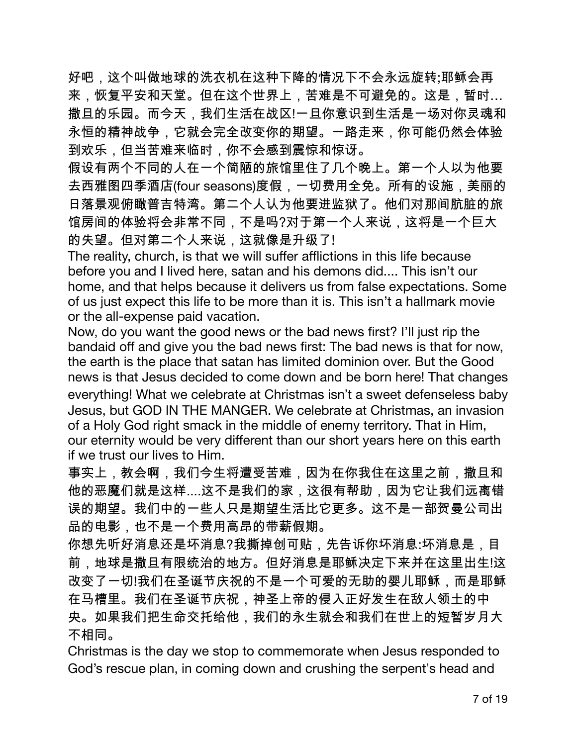好吧,这个叫做地球的洗衣机在这种下降的情况下不会永远旋转;耶稣会再 来,恢复平安和天堂。但在这个世界上,苦难是不可避免的。这是,暂时… 撒旦的乐园。而今天,我们生活在战区!一旦你意识到生活是一场对你灵魂和 永恒的精神战争,它就会完全改变你的期望。一路走来,你可能仍然会体验 到欢乐,但当苦难来临时,你不会感到震惊和惊讶。

假设有两个不同的人在一个简陋的旅馆里住了几个晚上。第一个人以为他要 去西雅图四季酒店(four seasons)度假,一切费用全免。所有的设施,美丽的 日落景观俯瞰普吉特湾。第二个人认为他要进监狱了。他们对那间肮脏的旅 馆房间的体验将会非常不同,不是吗?对于第一个人来说,这将是一个巨大 的失望。但对第二个人来说,这就像是升级了!

The reality, church, is that we will suffer afflictions in this life because before you and I lived here, satan and his demons did.... This isn't our home, and that helps because it delivers us from false expectations. Some of us just expect this life to be more than it is. This isn't a hallmark movie or the all-expense paid vacation.

Now, do you want the good news or the bad news first? I'll just rip the bandaid off and give you the bad news first: The bad news is that for now, the earth is the place that satan has limited dominion over. But the Good news is that Jesus decided to come down and be born here! That changes everything! What we celebrate at Christmas isn't a sweet defenseless baby Jesus, but GOD IN THE MANGER. We celebrate at Christmas, an invasion of a Holy God right smack in the middle of enemy territory. That in Him, our eternity would be very different than our short years here on this earth if we trust our lives to Him.

事实上,教会啊,我们今生将遭受苦难,因为在你我住在这里之前,撒旦和 他的恶魔们就是这样....这不是我们的家,这很有帮助,因为它让我们远离错 误的期望。我们中的一些人只是期望生活比它更多。这不是一部贺曼公司出 品的电影,也不是一个费用高昂的带薪假期。

你想先听好消息还是坏消息?我撕掉创可贴,先告诉你坏消息:坏消息是,目 前,地球是撒旦有限统治的地方。但好消息是耶稣决定下来并在这里出生!这 改变了一切!我们在圣诞节庆祝的不是一个可爱的无助的婴儿耶稣,而是耶稣 在马槽里。我们在圣诞节庆祝,神圣上帝的侵入正好发生在敌人领土的中 央。如果我们把生命交托给他,我们的永生就会和我们在世上的短暂岁月大 不相同。

Christmas is the day we stop to commemorate when Jesus responded to God's rescue plan, in coming down and crushing the serpent's head and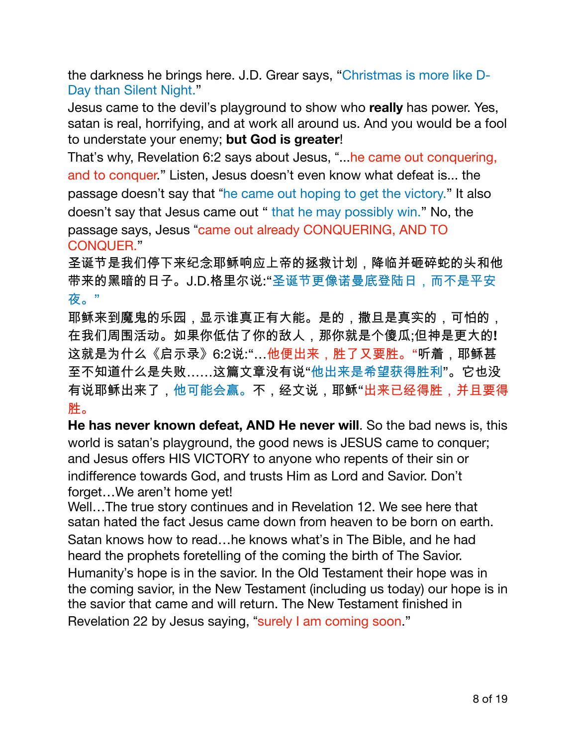the darkness he brings here. J.D. Grear says, "Christmas is more like D-Day than Silent Night."

Jesus came to the devil's playground to show who really has power. Yes, satan is real, horrifying, and at work all around us. And you would be a fool to understate your enemy; but God is greater!

That's why, Revelation 6:2 says about Jesus, "... he came out conquering, and to conquer." Listen, Jesus doesn't even know what defeat is... the passage doesn't say that "he came out hoping to get the victory." It also doesn't say that Jesus came out " that he may possibly win." No, the passage says, Jesus "came out already CONQUERING, AND TO **CONQUER."** 

圣诞节是我们停下来纪念耶稣响应上帝的拯救计划,降临并砸碎蛇的头和他 带来的黑暗的日子。J.D.格里尔说:"圣诞节更像诺曼底登陆日,而不是平安 夜。"

耶稣来到魔鬼的乐园,显示谁真正有大能。是的,撒旦是真实的,可怕的, 在我们周围活动。如果你低估了你的敌人,那你就是个傻瓜;但神是更大的! 这就是为什么《启示录》6:2说:"…他便出来,胜了又要胜。"听着,耶稣甚 至不知道什么是失败……这篇文章没有说"他出来是希望获得胜利"。它也没 有说耶稣出来了,他可能会赢。不,经文说,耶稣"出来已经得胜,并且要得 胜。

He has never known defeat, AND He never will. So the bad news is, this world is satan's playground, the good news is JESUS came to conquer; and Jesus offers HIS VICTORY to anyone who repents of their sin or indifference towards God, and trusts Him as Lord and Savior. Don't forget...We aren't home yet!

Well...The true story continues and in Revelation 12. We see here that satan hated the fact Jesus came down from heaven to be born on earth. Satan knows how to read...he knows what's in The Bible, and he had heard the prophets foretelling of the coming the birth of The Savior. Humanity's hope is in the savior. In the Old Testament their hope was in the coming savior, in the New Testament (including us today) our hope is in the savior that came and will return. The New Testament finished in Revelation 22 by Jesus saying, "surely I am coming soon."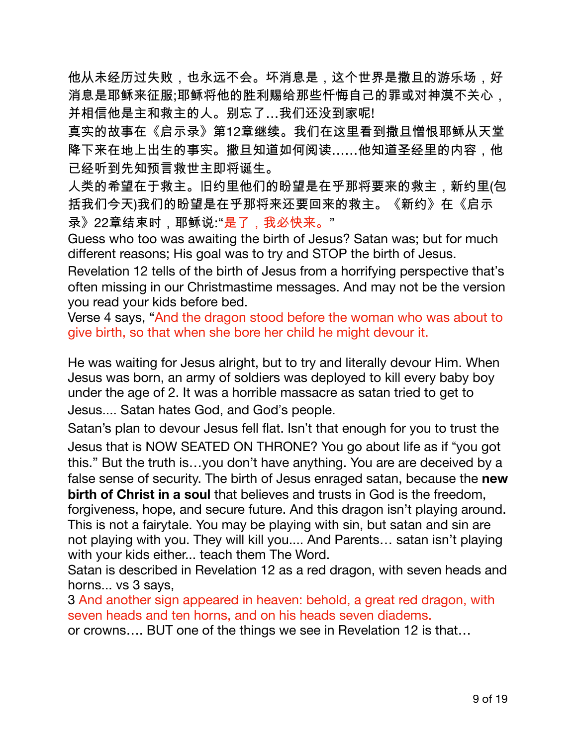他从未经历过失败,也永远不会。坏消息是,这个世界是撒旦的游乐场,好 消息是耶稣来征服;耶稣将他的胜利赐给那些忏悔自己的罪或对神漠不关心, 并相信他是主和救主的人。别忘了…我们还没到家呢!

真实的故事在《启示录》第12章继续。我们在这里看到撒旦憎恨耶稣从天堂 降下来在地上出生的事实。撒旦知道如何阅读……他知道圣经里的内容,他 已经听到先知预言救世主即将诞生。

人类的希望在于救主。旧约里他们的盼望是在乎那将要来的救主,新约里(包 括我们今天)我们的盼望是在乎那将来还要回来的救主。《新约》在《启示 录》22章结束时,耶稣说:"是了,我必快来。"

Guess who too was awaiting the birth of Jesus? Satan was; but for much different reasons; His goal was to try and STOP the birth of Jesus.

Revelation 12 tells of the birth of Jesus from a horrifying perspective that's often missing in our Christmastime messages. And may not be the version you read your kids before bed.

Verse 4 says, "And the dragon stood before the woman who was about to give birth, so that when she bore her child he might devour it.

He was waiting for Jesus alright, but to try and literally devour Him. When Jesus was born, an army of soldiers was deployed to kill every baby boy under the age of 2. It was a horrible massacre as satan tried to get to Jesus.... Satan hates God, and God's people.

Satan's plan to devour Jesus fell flat. Isn't that enough for you to trust the Jesus that is NOW SEATED ON THRONE? You go about life as if "you got this." But the truth is...you don't have anything. You are are deceived by a false sense of security. The birth of Jesus enraged satan, because the **new birth of Christ in a soul** that believes and trusts in God is the freedom. forgiveness, hope, and secure future. And this dragon isn't playing around. This is not a fairytale. You may be playing with sin, but satan and sin are

not playing with you. They will kill you.... And Parents... satan isn't playing with your kids either... teach them The Word.

Satan is described in Revelation 12 as a red dragon, with seven heads and horns... vs 3 says,

3 And another sign appeared in heaven: behold, a great red dragon, with seven heads and ten horns, and on his heads seven diadems.

or crowns.... BUT one of the things we see in Revelation 12 is that...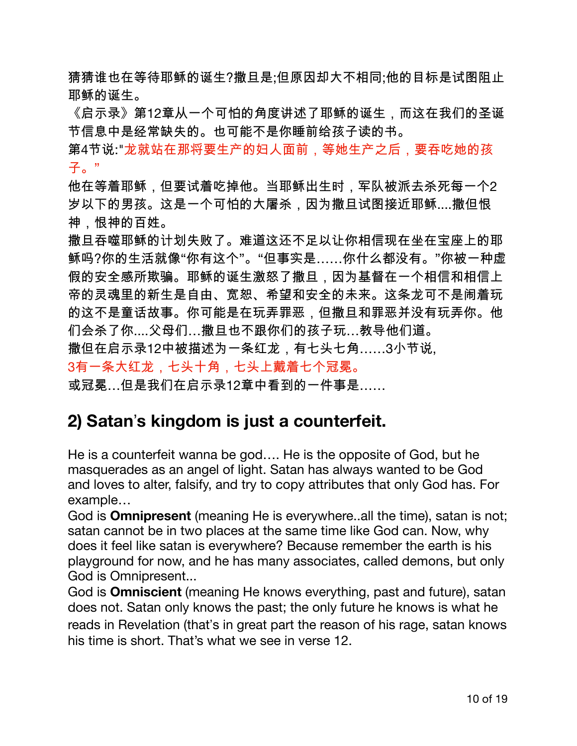猜猜谁也在等待耶稣的诞生?撒旦是:但原因却大不相同:他的目标是试图阻止 耶稣的诞生。

《启示录》第12章从一个可怕的角度讲述了耶稣的诞生,而这在我们的圣诞 节信息中是经常缺失的。也可能不是你睡前给孩子读的书。

第4节说:"龙就站在那将要生产的妇人面前,等她生产之后,要吞吃她的孩 子。"

他在等着耶稣,但要试着吃掉他。当耶稣出生时,军队被派去杀死每一个2 岁以下的男孩。这是一个可怕的大屠杀,因为撒旦试图接近耶稣....撒但恨 神,恨神的百姓。

撒旦吞噬耶稣的计划失败了。难道这还不足以让你相信现在坐在宝座上的耶 稣吗?你的生活就像"你有这个"。"但事实是……你什么都没有。"你被一种虚 假的安全感所欺骗。耶稣的诞生激怒了撒旦,因为基督在一个相信和相信上 帝的灵魂里的新生是自由、宽恕、希望和安全的未来。这条龙可不是闹着玩 的这不是童话故事。你可能是在玩弄罪恶,但撒旦和罪恶并没有玩弄你。他 们会杀了你....父母们…撒旦也不跟你们的孩子玩…教导他们道。 撒但在启示录12中被描述为一条红龙,有七头七角……3小节说, 3有一条大红龙,七头十角,七头上戴着七个冠冕。

或冠冕…但是我们在启示录12章中看到的一件事是……

# 2) Satan's kingdom is just a counterfeit.

He is a counterfeit wanna be god.... He is the opposite of God, but he masquerades as an angel of light. Satan has always wanted to be God and loves to alter, falsify, and try to copy attributes that only God has. For example...

God is **Omnipresent** (meaning He is everywhere..all the time), satan is not; satan cannot be in two places at the same time like God can. Now, why does it feel like satan is everywhere? Because remember the earth is his playground for now, and he has many associates, called demons, but only God is Omnipresent...

God is Omniscient (meaning He knows everything, past and future), satan does not. Satan only knows the past; the only future he knows is what he reads in Revelation (that's in great part the reason of his rage, satan knows his time is short. That's what we see in verse 12.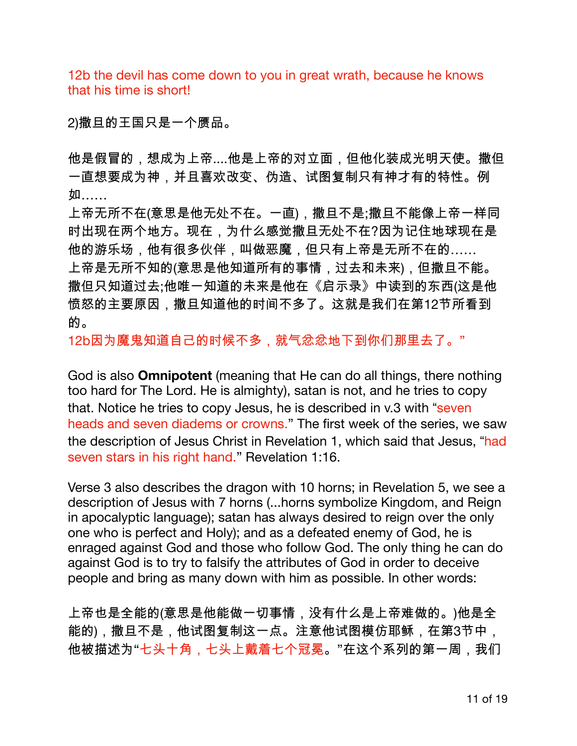12b the devil has come down to you in great wrath, because he knows that his time is short!

2)撒旦的王国只是一个赝品。

他是假冒的,想成为上帝....他是上帝的对立面,但他化装成光明天使。撒但 一直想要成为神,并且喜欢改变、伪造、试图复制只有神才有的特性。例 如……

上帝无所不在(意思是他无处不在。一直),撒旦不是;撒旦不能像上帝一样同 时出现在两个地方。现在,为什么感觉撒旦无处不在?因为记住地球现在是 他的游乐场,他有很多伙伴,叫做恶魔,但只有上帝是无所不在的…… 上帝是无所不知的(意思是他知道所有的事情,过去和未来),但撒旦不能。 撒但只知道过去;他唯一知道的未来是他在《启示录》中读到的东西(这是他 愤怒的主要原因,撒旦知道他的时间不多了。这就是我们在第12节所看到 的。

12b因为魔鬼知道自己的时候不多,就气忿忿地下到你们那里去了。"

God is also **Omnipotent** (meaning that He can do all things, there nothing too hard for The Lord. He is almighty), satan is not, and he tries to copy that. Notice he tries to copy Jesus, he is described in v.3 with "seven" heads and seven diadems or crowns." The first week of the series, we saw the description of Jesus Christ in Revelation 1, which said that Jesus, "had seven stars in his right hand." Revelation 1:16.

Verse 3 also describes the dragon with 10 horns; in Revelation 5, we see a description of Jesus with 7 horns (... horns symbolize Kingdom, and Reign in apocalyptic language); satan has always desired to reign over the only one who is perfect and Holy); and as a defeated enemy of God, he is enraged against God and those who follow God. The only thing he can do against God is to try to falsify the attributes of God in order to deceive people and bring as many down with him as possible. In other words:

上帝也是全能的(意思是他能做一切事情,没有什么是上帝难做的。)他是全 能的),撒旦不是,他试图复制这一点。注意他试图模仿耶稣,在第3节中, 他被描述为"七头十角,七头上戴着七个冠冕。"在这个系列的第一周,我们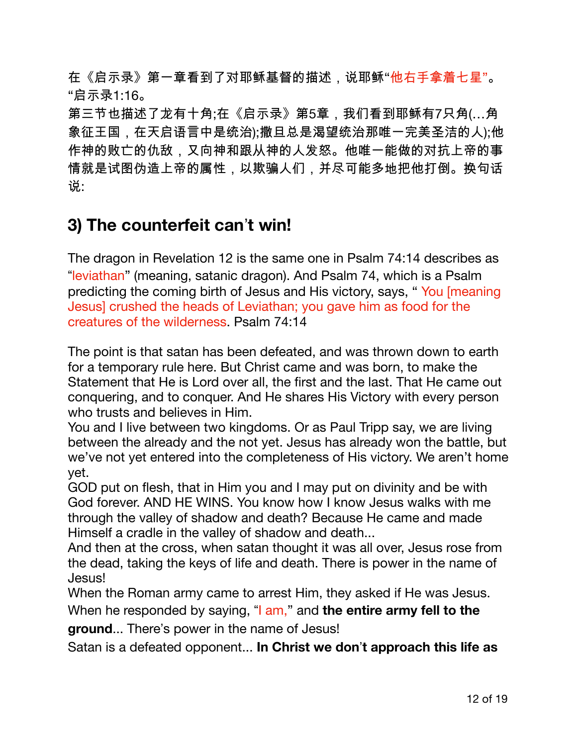在《启示录》第一章看到了对耶稣基督的描述,说耶稣"他右手拿着七星"。 "启示录1:16。

第三节也描述了龙有十角;在《启示录》第5章,我们看到耶稣有7只角(…角 象征王国,在天启语言中是统治);撒旦总是渴望统治那唯一完美圣洁的人);他 作神的败亡的仇敌,又向神和跟从神的人发怒。他唯一能做的对抗上帝的事 情就是试图伪造上帝的属性,以欺骗人们,并尽可能多地把他打倒。换句话 说:

### 3) The counterfeit can't win!

The dragon in Revelation 12 is the same one in Psalm 74:14 describes as "leviathan" (meaning, satanic dragon). And Psalm 74, which is a Psalm predicting the coming birth of Jesus and His victory, says, "You [meaning] Jesus] crushed the heads of Leviathan; you gave him as food for the creatures of the wilderness. Psalm 74:14

The point is that satan has been defeated, and was thrown down to earth for a temporary rule here. But Christ came and was born, to make the Statement that He is Lord over all, the first and the last. That He came out conquering, and to conquer. And He shares His Victory with every person who trusts and believes in Him.

You and I live between two kingdoms. Or as Paul Tripp say, we are living between the already and the not yet. Jesus has already won the battle, but we've not yet entered into the completeness of His victory. We aren't home vet.

GOD put on flesh, that in Him you and I may put on divinity and be with God forever, AND HE WINS, You know how I know Jesus walks with me through the valley of shadow and death? Because He came and made Himself a cradle in the valley of shadow and death...

And then at the cross, when satan thought it was all over, Jesus rose from the dead, taking the keys of life and death. There is power in the name of Jesus!

When the Roman army came to arrest Him, they asked if He was Jesus. When he responded by saying, "I am," and the entire army fell to the

ground... There's power in the name of Jesus!

Satan is a defeated opponent... In Christ we don't approach this life as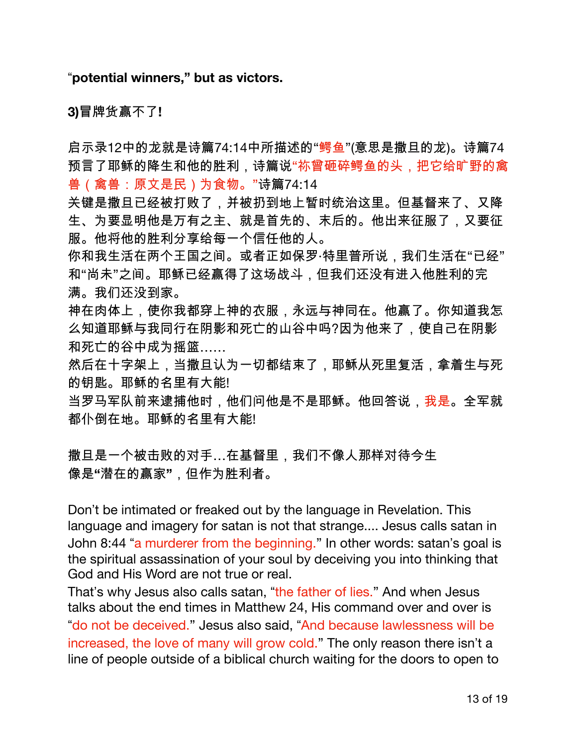"potential winners," but as victors.

3)冒牌货赢不了!

启示录12中的龙就是诗篇74:14中所描述的"鳄鱼"(意思是撒旦的龙)。诗篇74 预言了耶稣的降生和他的胜利,诗篇说"祢曾砸碎鳄鱼的头,把它给旷野的禽 兽(禽兽:原文是民)为食物。"诗篇74:14

关键是撒旦已经被打败了,并被扔到地上暂时统治这里。但基督来了、又降 生、为要显明他是万有之主、就是首先的、末后的。他出来征服了,又要征 服。他将他的胜利分享给每一个信任他的人。

你和我生活在两个王国之间。或者正如保罗·特里普所说,我们生活在"已经" 和"尚未"之间。耶稣已经赢得了这场战斗,但我们还没有进入他胜利的完 满。我们还没到家。

神在肉体上,使你我都穿上神的衣服,永远与神同在。他赢了。你知道我怎 么知道耶稣与我同行在阴影和死亡的山谷中吗?因为他来了,使自己在阴影 和死亡的谷中成为摇篮......

然后在十字架上,当撒旦认为一切都结束了,耶稣从死里复活,拿着生与死 的钥匙。耶稣的名里有大能!

当罗马军队前来逮捕他时,他们问他是不是耶稣。他回答说,我是。全军就 都仆倒在地。耶稣的名里有大能!

撒旦是一个被击败的对手…在基督里,我们不像人那样对待今生 像是"潜在的赢家",但作为胜利者。

Don't be intimated or freaked out by the language in Revelation. This language and imagery for satan is not that strange.... Jesus calls satan in John 8:44 "a murderer from the beginning." In other words: satan's goal is the spiritual assassination of your soul by deceiving you into thinking that God and His Word are not true or real.

That's why Jesus also calls satan, "the father of lies." And when Jesus talks about the end times in Matthew 24, His command over and over is "do not be deceived." Jesus also said, "And because lawlessness will be increased, the love of many will grow cold." The only reason there isn't a line of people outside of a biblical church waiting for the doors to open to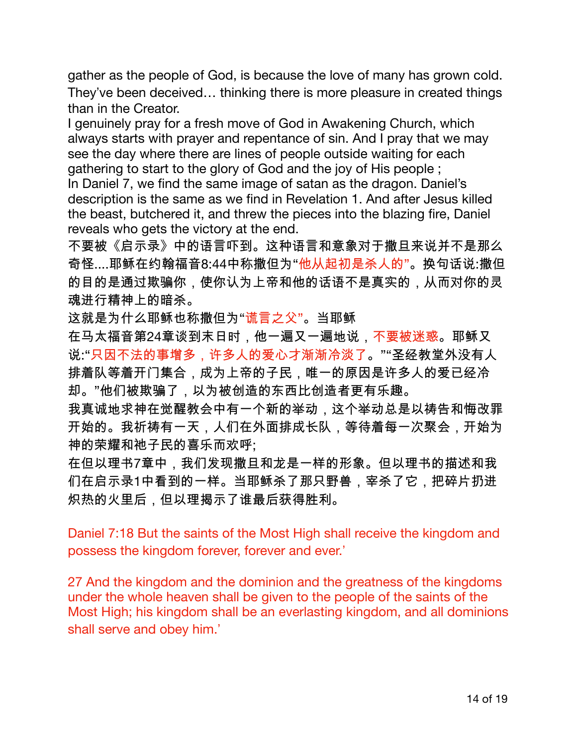gather as the people of God, is because the love of many has grown cold. They've been deceived... thinking there is more pleasure in created things than in the Creator.

I genuinely pray for a fresh move of God in Awakening Church, which always starts with prayer and repentance of sin. And I pray that we may see the day where there are lines of people outside waiting for each gathering to start to the glory of God and the joy of His people;

In Daniel 7, we find the same image of satan as the dragon. Daniel's description is the same as we find in Revelation 1. And after Jesus killed the beast, butchered it, and threw the pieces into the blazing fire, Daniel reveals who gets the victory at the end.

不要被《启示录》中的语言吓到。这种语言和意象对于撒旦来说并不是那么 奇怪....耶稣在约翰福音8:44中称撒但为"他从起初是杀人的"。换句话说:撒但 的目的是通过欺骗你,使你认为上帝和他的话语不是真实的,从而对你的灵 魂进行精神上的暗杀。

这就是为什么耶稣也称撒但为"谎言之父"。当耶稣

在马太福音第24章谈到末日时,他一遍又一遍地说,不要被迷惑。耶稣又 说:"只因不法的事增多,许多人的爱心才渐渐冷淡了。""圣经教堂外没有人 排着队等着开门集合,成为上帝的子民,唯一的原因是许多人的爱已经冷 却。"他们被欺骗了,以为被创造的东西比创造者更有乐趣。

我真诚地求神在觉醒教会中有一个新的举动,这个举动总是以祷告和悔改罪 开始的。我祈祷有一天,人们在外面排成长队,等待着每一次聚会,开始为 神的荣耀和祂子民的喜乐而欢呼;

在但以理书7章中,我们发现撒旦和龙是一样的形象。但以理书的描述和我 们在启示录1中看到的一样。当耶稣杀了那只野兽,宰杀了它,把碎片扔进 炽热的火里后,但以理揭示了谁最后获得胜利。

Daniel 7:18 But the saints of the Most High shall receive the kingdom and possess the kingdom forever, forever and ever.'

27 And the kingdom and the dominion and the greatness of the kingdoms under the whole heaven shall be given to the people of the saints of the Most High; his kingdom shall be an everlasting kingdom, and all dominions shall serve and obey him.'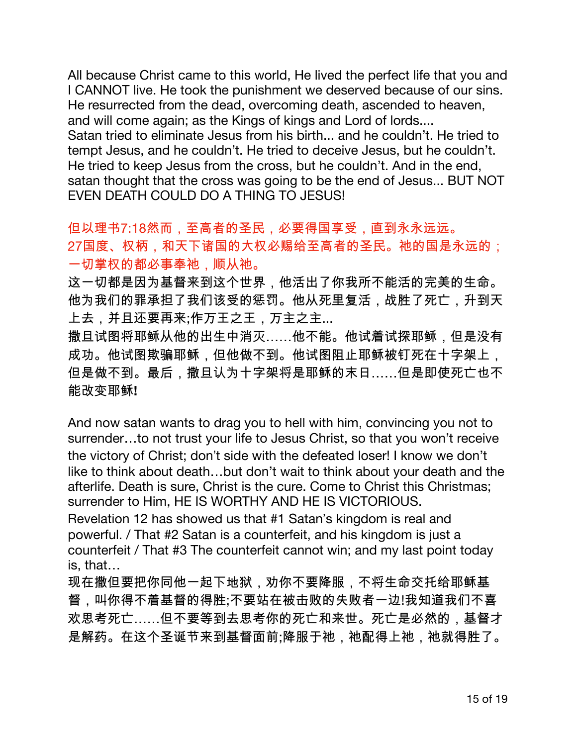All because Christ came to this world, He lived the perfect life that you and I CANNOT live. He took the punishment we deserved because of our sins. He resurrected from the dead, overcoming death, ascended to heaven, and will come again; as the Kings of kings and Lord of lords.... Satan tried to eliminate Jesus from his birth... and he couldn't. He tried to tempt Jesus, and he couldn't. He tried to deceive Jesus, but he couldn't. He tried to keep Jesus from the cross, but he couldn't. And in the end, satan thought that the cross was going to be the end of Jesus... BUT NOT EVEN DEATH COULD DO A THING TO JESUS!

但以理书7:18然而,至高者的圣民,必要得国享受,直到永永远远。 27国度、权柄,和天下诸国的大权必赐给至高者的圣民。祂的国是永远的; 一切掌权的都必事奉祂,顺从祂。

这一切都是因为基督来到这个世界,他活出了你我所不能活的完美的生命。 他为我们的罪承担了我们该受的惩罚。他从死里复活,战胜了死亡,升到天 上去,并且还要再来;作万王之王,万主之主...

撒旦试图将耶稣从他的出生中消灭……他不能。他试着试探耶稣,但是没有 成功。他试图欺骗耶稣,但他做不到。他试图阻止耶稣被钉死在十字架上, 但是做不到。最后,撒旦认为十字架将是耶稣的末日……但是即使死亡也不 能改变耶稣!

And now satan wants to drag you to hell with him, convincing you not to surrender...to not trust your life to Jesus Christ, so that you won't receive the victory of Christ; don't side with the defeated loser! I know we don't like to think about death...but don't wait to think about your death and the afterlife. Death is sure, Christ is the cure. Come to Christ this Christmas; surrender to Him, HE IS WORTHY AND HE IS VICTORIOUS. Revelation 12 has showed us that #1 Satan's kingdom is real and powerful. / That #2 Satan is a counterfeit, and his kingdom is just a counterfeit / That #3 The counterfeit cannot win; and my last point today is. that...

现在撒但要把你同他一起下地狱,劝你不要降服,不将生命交托给耶稣基 督,叫你得不着基督的得胜;不要站在被击败的失败者一边!我知道我们不喜 欢思考死亡……但不要等到去思考你的死亡和来世。死亡是必然的,基督才 是解药。在这个圣诞节来到基督面前;降服于祂,祂配得上祂,祂就得胜了。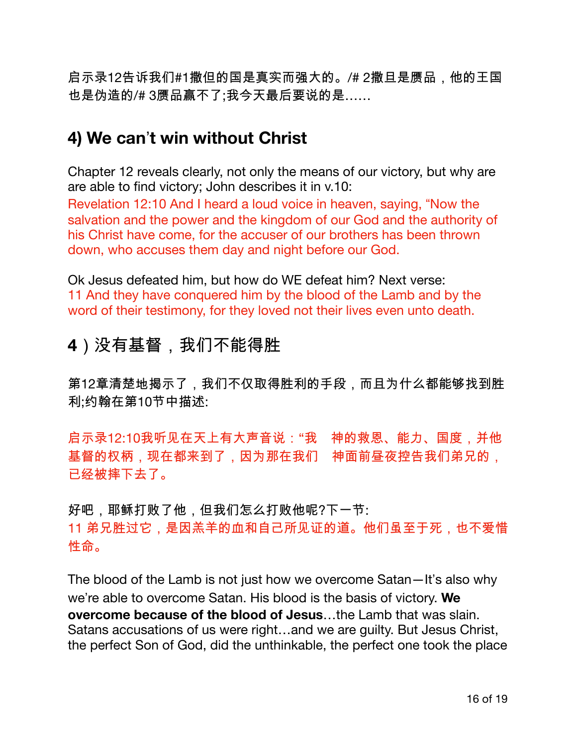启示录12告诉我们#1撒但的国是真实而强大的。/# 2撒旦是赝品,他的王国 也是伪造的/#3赝品赢不了;我今天最后要说的是......

# 4) We can't win without Christ

Chapter 12 reveals clearly, not only the means of our victory, but why are are able to find victory; John describes it in v.10:

Revelation 12:10 And I heard a loud voice in heaven, saying, "Now the salvation and the power and the kingdom of our God and the authority of his Christ have come, for the accuser of our brothers has been thrown down, who accuses them day and night before our God.

Ok Jesus defeated him, but how do WE defeat him? Next verse: 11 And they have conquered him by the blood of the Lamb and by the word of their testimony, for they loved not their lives even unto death.

# 4) 没有基督, 我们不能得胜

第12章清楚地揭示了,我们不仅取得胜利的手段,而且为什么都能够找到胜 利:约翰在第10节中描述:

启示录12:10我听见在天上有大声音说:"我 神的救恩、能力、国度,并他 基督的权柄,现在都来到了,因为那在我们 神面前昼夜控告我们弟兄的, 已经被摔下去了。

好吧,耶稣打败了他,但我们怎么打败他呢?下一节: 11 弟兄胜过它,是因羔羊的血和自己所见证的道。他们虽至于死,也不爱惜 性命。

The blood of the Lamb is not just how we overcome Satan—It's also why we're able to overcome Satan. His blood is the basis of victory. We overcome because of the blood of Jesus...the Lamb that was slain. Satans accusations of us were right...and we are guilty. But Jesus Christ, the perfect Son of God, did the unthinkable, the perfect one took the place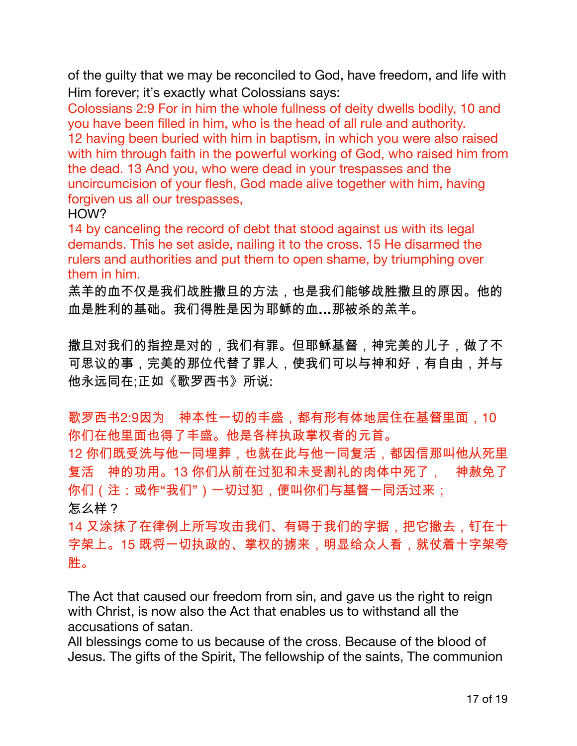of the guilty that we may be reconciled to God, have freedom, and life with Him forever; it's exactly what Colossians says:

Colossians 2:9 For in him the whole fullness of deity dwells bodily, 10 and you have been filled in him, who is the head of all rule and authority. 12 having been buried with him in baptism, in which you were also raised with him through faith in the powerful working of God, who raised him from the dead. 13 And you, who were dead in your trespasses and the uncircumcision of your flesh, God made alive together with him, having forgiven us all our trespasses,

HOW?

14 by canceling the record of debt that stood against us with its legal demands. This he set aside, nailing it to the cross. 15 He disarmed the rulers and authorities and put them to open shame, by triumphing over them in him.

羔羊的血不仅是我们战胜撒旦的方法,也是我们能够战胜撒旦的原因。他的 血是胜利的基础。我们得胜是因为耶稣的血...那被杀的羔羊。

撒旦对我们的指控是对的,我们有罪。但耶稣基督,神完美的儿子,做了不 可思议的事,完美的那位代替了罪人,使我们可以与神和好,有自由,并与 他永远同在;正如《歌罗西书》所说:

歌罗西书2:9因为 神本性一切的丰盛,都有形有体地居住在基督里面,10 你们在他里面也得了丰盛。他是各样执政掌权者的元首。

12 你们既受洗与他一同埋葬,也就在此与他一同复活,都因信那叫他从死里 复活 神的功用。13 你们从前在过犯和未受割礼的肉体中死了, 神赦免了 你们 (注:或作"我们") 一切过犯, 便叫你们与基督一同活过来;

怎么样?

14 又涂抹了在律例上所写攻击我们、有碍于我们的字据,把它撤去,钉在十 字架上。15 既将一切执政的、掌权的掳来,明显给众人看,就仗着十字架夸 胜。

The Act that caused our freedom from sin, and gave us the right to reign with Christ, is now also the Act that enables us to withstand all the accusations of satan.

All blessings come to us because of the cross. Because of the blood of Jesus. The gifts of the Spirit, The fellowship of the saints, The communion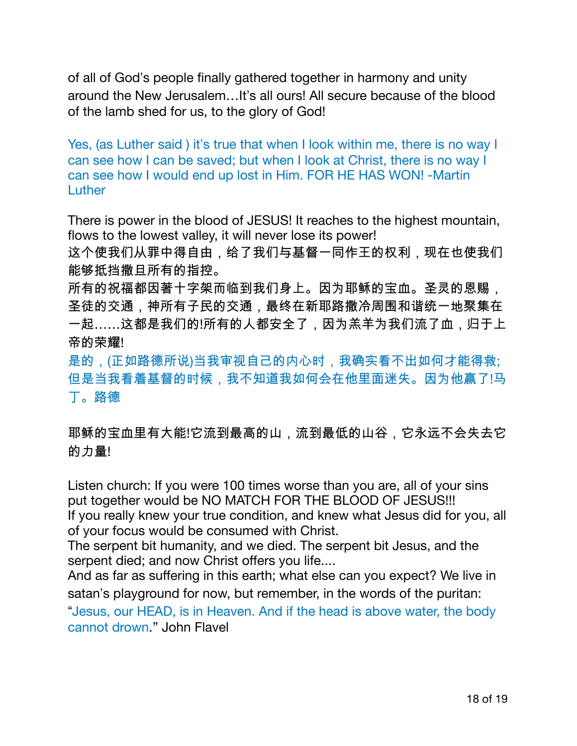of all of God's people finally gathered together in harmony and unity around the New Jerusalem...It's all ours! All secure because of the blood of the lamb shed for us, to the glory of God!

Yes, (as Luther said) it's true that when I look within me, there is no way I can see how I can be saved; but when I look at Christ, there is no way I can see how I would end up lost in Him. FOR HE HAS WON! -Martin Luther

There is power in the blood of JESUS! It reaches to the highest mountain, flows to the lowest valley, it will never lose its power!

这个使我们从罪中得自由,给了我们与基督一同作王的权利,现在也使我们 能够抵挡撒旦所有的指控。

所有的祝福都因著十字架而临到我们身上。因为耶稣的宝血。圣灵的恩赐, 圣徒的交通,神所有子民的交通,最终在新耶路撒冷周围和谐统一地聚集在 一起……这都是我们的!所有的人都安全了,因为羔羊为我们流了血,归于上 帝的荣耀!

是的,(正如路德所说)当我审视自己的内心时,我确实看不出如何才能得救; 但是当我看着基督的时候,我不知道我如何会在他里面迷失。因为他赢了!马 丅。路德

耶稣的宝血里有大能!它流到最高的山,流到最低的山谷,它永远不会失去它 的力量!

Listen church: If you were 100 times worse than you are, all of your sins put together would be NO MATCH FOR THE BLOOD OF JESUS!!! If you really knew your true condition, and knew what Jesus did for you, all of your focus would be consumed with Christ.

The serpent bit humanity, and we died. The serpent bit Jesus, and the serpent died; and now Christ offers you life....

And as far as suffering in this earth; what else can you expect? We live in satan's playground for now, but remember, in the words of the puritan:

"Jesus, our HEAD, is in Heaven. And if the head is above water, the body cannot drown." John Flavel